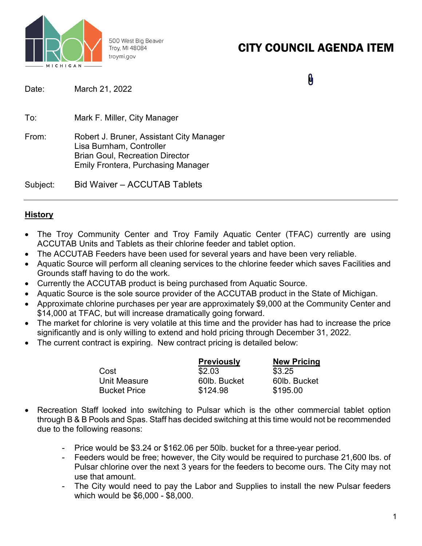

500 West Big Beaver Troy, MI 48084 troymi.gov

# CITY COUNCIL AGENDA ITEM

 $\mathbf{0}$ 

| Date:    | March 21, 2022                                                                                                                                              |
|----------|-------------------------------------------------------------------------------------------------------------------------------------------------------------|
| To:      | Mark F. Miller, City Manager                                                                                                                                |
| From:    | Robert J. Bruner, Assistant City Manager<br>Lisa Burnham, Controller<br><b>Brian Goul, Recreation Director</b><br><b>Emily Frontera, Purchasing Manager</b> |
| Subject: | <b>Bid Waiver - ACCUTAB Tablets</b>                                                                                                                         |

## **History**

- The Troy Community Center and Troy Family Aquatic Center (TFAC) currently are using ACCUTAB Units and Tablets as their chlorine feeder and tablet option.
- The ACCUTAB Feeders have been used for several years and have been very reliable.
- Aquatic Source will perform all cleaning services to the chlorine feeder which saves Facilities and Grounds staff having to do the work.
- Currently the ACCUTAB product is being purchased from Aquatic Source.
- Aquatic Source is the sole source provider of the ACCUTAB product in the State of Michigan.
- Approximate chlorine purchases per year are approximately \$9,000 at the Community Center and \$14,000 at TFAC, but will increase dramatically going forward.
- The market for chlorine is very volatile at this time and the provider has had to increase the price significantly and is only willing to extend and hold pricing through December 31, 2022.
- The current contract is expiring. New contract pricing is detailed below:

|                     | <b>Previously</b> | <b>New Pricing</b> |
|---------------------|-------------------|--------------------|
| Cost                | \$2.03            | \$3.25             |
| Unit Measure        | 60lb. Bucket      | 60lb. Bucket       |
| <b>Bucket Price</b> | \$124.98          | \$195.00           |

- Recreation Staff looked into switching to Pulsar which is the other commercial tablet option through B & B Pools and Spas. Staff has decided switching at this time would not be recommended due to the following reasons:
	- Price would be \$3.24 or \$162.06 per 50lb. bucket for a three-year period.
	- Feeders would be free; however, the City would be required to purchase 21,600 lbs. of Pulsar chlorine over the next 3 years for the feeders to become ours. The City may not use that amount.
	- The City would need to pay the Labor and Supplies to install the new Pulsar feeders which would be \$6,000 - \$8,000.